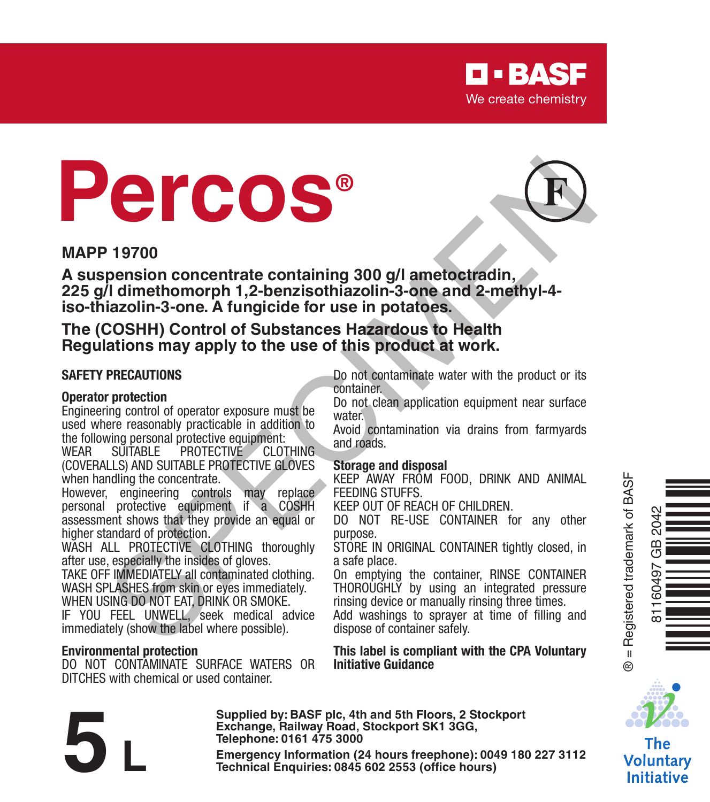

# **Percos®**



**A suspension concentrate containing 300 g/l ametoctradin, 225 g/l dimethomorph 1,2-benzisothiazolin-3-one and 2-methyl-4 iso-thiazolin-3-one. A fungicide for use in potatoes. Example 1970**<br> **SPECIES And the Special Speciality of the special speciality of the special speciality of the special speciality of the special speciality of the special speciality of the special speciality of the special** 

**The (COSHH) Control of Substances Hazardous to Health Regulations may apply to the use of this product at work.**

#### **SAFETY PRECAUTIONS**

#### **Operator protection**

Engineering control of operator exposure must be used where reasonably practicable in addition to

the following personal protective equipment: **PROTECTIVE** (COVERALLS) AND SUITABLE PROTECTIVE GLOVES when handling the concentrate.

However, engineering controls may replace personal protective equipment if a COSHH assessment shows that they provide an equal or higher standard of protection.

WASH ALL PROTECTIVE CLOTHING thoroughly after use, especially the insides of gloves.

TAKE OFF IMMEDIATELY all contaminated clothing. WASH SPLASHES from skin or eyes immediately. WHEN USING DO NOT EAT, DRINK OR SMOKE.

IF YOU FEEL UNWELL, seek medical advice immediately (show the label where possible).

#### **Environmental protection**

DO NOT CONTAMINATE SURFACE WATERS OR DITCHES with chemical or used container.

Do not contaminate water with the product or its container.

Do not clean application equipment near surface water<sup>.</sup>

Avoid contamination via drains from farmyards and roads.

#### **Storage and disposal**

KEEP AWAY FROM FOOD, DRINK AND ANIMAL FEEDING STUFFS.

KEEP OUT OF REACH OF CHILDREN.

DO NOT RE-USE CONTAINER for any other purpose.

STORE IN ORIGINAL CONTAINER tightly closed, in a safe place.

On emptying the container, RINSE CONTAINER THOROUGHLY by using an integrated pressure rinsing device or manually rinsing three times.

Add washings to sprayer at time of filling and dispose of container safely.

**This label is compliant with the CPA Voluntary Initiative Guidance**

The **Voluntarv Initiative** 

**Telephone: 0161 475 3000** Exchange, Railway Road, Stockport SK1 3GG,<br>
Telephone: 0161 475 3000<br>
Emergency Information (24 hours freephone): 0049 180 227 3112<br>
Technical Enquiries: 0845 602 2553 (office hours)

**Supplied by: BASF plc, 4th and 5th Floors, 2 Stockport Exchange, Railway Road, Stockport SK1 3GG,** 



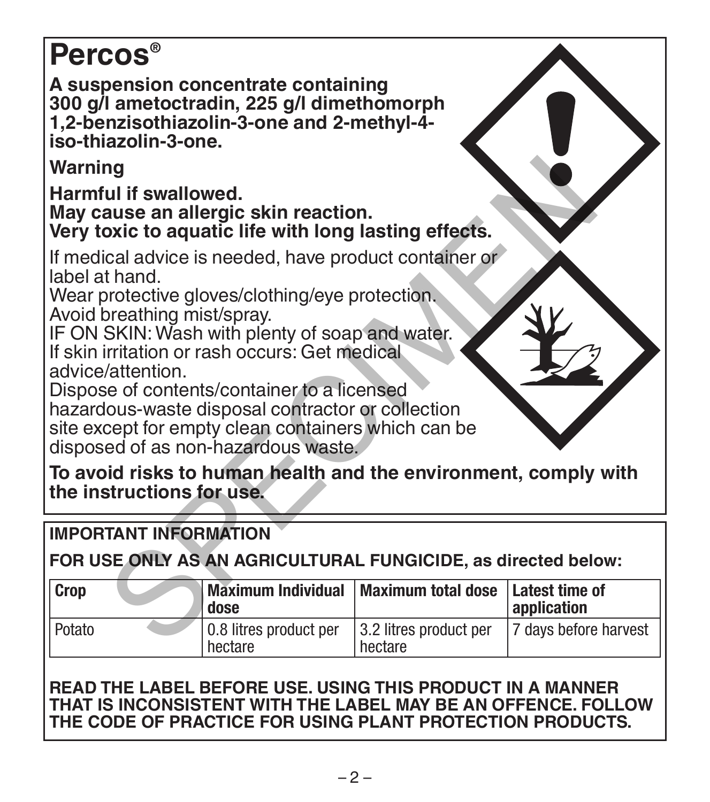# **Percos®**

**A suspension concentrate containing 300 g/l ametoctradin, 225 g/l dimethomorph 1,2-benzisothiazolin-3-one and 2-methyl-4 iso-thiazolin-3-one.**

# **IMPORTANT INFORMATION**

| Warning                                                                                                                                                                                                                                                                                                                                                                                                                                                                                |                                   |                                   |                               |
|----------------------------------------------------------------------------------------------------------------------------------------------------------------------------------------------------------------------------------------------------------------------------------------------------------------------------------------------------------------------------------------------------------------------------------------------------------------------------------------|-----------------------------------|-----------------------------------|-------------------------------|
| Harmful if swallowed.<br>May cause an allergic skin reaction.<br>Very toxic to aquatic life with long lasting effects.                                                                                                                                                                                                                                                                                                                                                                 |                                   |                                   |                               |
| If medical advice is needed, have product container or<br>label at hand.<br>Wear protective gloves/clothing/eye protection.<br>Avoid breathing mist/spray.<br>IF ON SKIN: Wash with plenty of soap and water.<br>If skin irritation or rash occurs: Get medical<br>advice/attention.<br>Dispose of contents/container to a licensed<br>hazardous-waste disposal contractor or collection<br>site except for empty clean containers which can be<br>disposed of as non-hazardous waste. |                                   |                                   |                               |
| To avoid risks to human health and the environment, comply with<br>the instructions for use.                                                                                                                                                                                                                                                                                                                                                                                           |                                   |                                   |                               |
| <b>IMPORTANT INFORMATION</b>                                                                                                                                                                                                                                                                                                                                                                                                                                                           |                                   |                                   |                               |
| FOR USE ONLY AS AN AGRICULTURAL FUNGICIDE, as directed below:                                                                                                                                                                                                                                                                                                                                                                                                                          |                                   |                                   |                               |
| Crop                                                                                                                                                                                                                                                                                                                                                                                                                                                                                   | <b>Maximum Individual</b><br>dose | <b>Maximum total dose</b>         | Latest time of<br>application |
| Potato                                                                                                                                                                                                                                                                                                                                                                                                                                                                                 | 0.8 litres product per<br>hectare | 3.2 litres product per<br>hectare | 7 days before harvest         |

# **READ THE LABEL BEFORE USE. USING THIS PRODUCT IN A MANNER THAT IS INCONSISTENT WITH THE LABEL MAY BE AN OFFENCE. FOLLOW THE CODE OF PRACTICE FOR USING PLANT PROTECTION PRODUCTS.**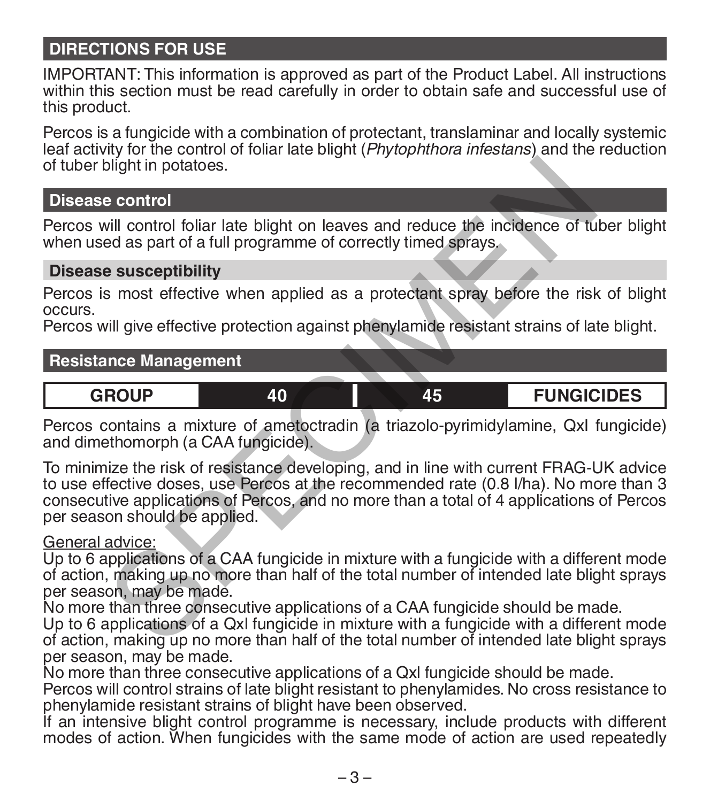# **DIRECTIONS FOR USE**

IMPORTANT: This information is approved as part of the Product Label. All instructions within this section must be read carefully in order to obtain safe and successful use of this product.

Percos is a fungicide with a combination of protectant, translaminar and locally systemic leaf activity for the control of foliar late blight (*Phytophthora infestans*) and the reduction of tuber blight in potatoes.

### **Disease control**

Percos will control foliar late blight on leaves and reduce the incidence of tuber blight when used as part of a full programme of correctly timed sprays.

### **Disease susceptibility**

Percos is most effective when applied as a protectant spray before the risk of blight occurs.

Percos will give effective protection against phenylamide resistant strains of late blight.

### **Resistance Management**

**GROUP 40 45 FUNGICIDES**

Percos contains a mixture of ametoctradin (a triazolo-pyrimidylamine, QxI fungicide) and dimethomorph (a CAA fungicide).

To minimize the risk of resistance developing, and in line with current FRAG-UK advice to use effective doses, use Percos at the recommended rate (0.8 l/ha). No more than 3 consecutive applications of Percos, and no more than a total of 4 applications of Percos per season should be applied. olight in potatoes.<br>
e control<br>
will control foliar late blight on leaves and reduce the incidence of tu<br>
ed as part of a full programme of correctly timed sprays.<br>
e susceptibility<br>
smost effective when applied as a prote

#### General advice:

Up to 6 applications of a CAA fungicide in mixture with a fungicide with a different mode of action, making up no more than half of the total number of intended late blight sprays per season, may be made.

No more than three consecutive applications of a CAA fungicide should be made.

Up to 6 applications of a Qxl fungicide in mixture with a fungicide with a different mode of action, making up no more than half of the total number of intended late blight sprays per season, may be made.

No more than three consecutive applications of a Qxl fungicide should be made.

Percos will control strains of late blight resistant to phenylamides. No cross resistance to phenylamide resistant strains of blight have been observed.

If an intensive blight control programme is necessary, include products with different modes of action. When fungicides with the same mode of action are used repeatedly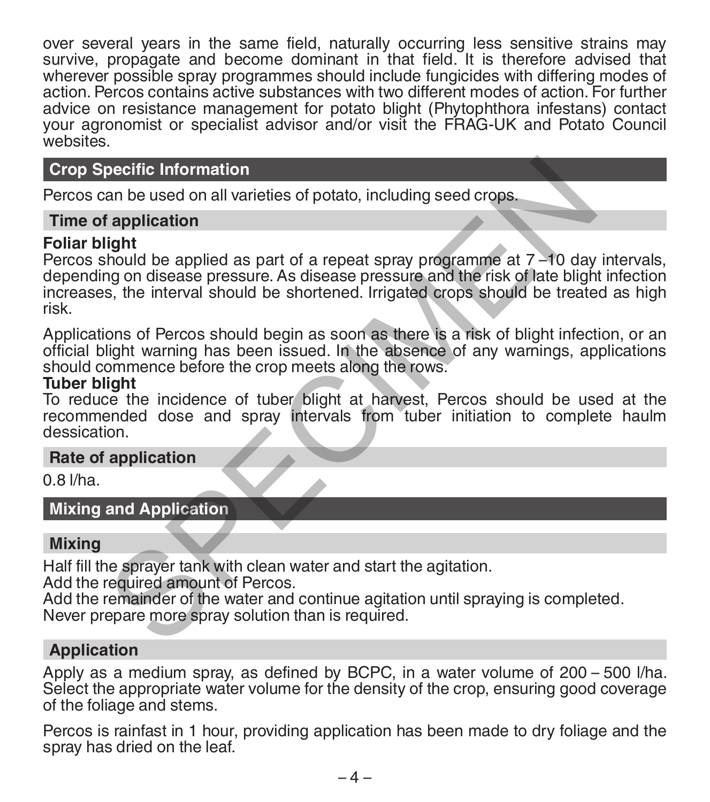over several years in the same field, naturally occurring less sensitive strains may survive, propagate and become dominant in that field. It is therefore advised that wherever possible spray programmes should include fungicides with differing modes of action. Percos contains active substances with two different modes of action. For further advice on resistance management for potato blight (Phytophthora infestans) contact your agronomist or specialist advisor and/or visit the FRAG-UK and Potato Council websites.

# **Crop Specific Information**

Percos can be used on all varieties of potato, including seed crops.

#### **Time of application**

#### **Foliar blight**

Percos should be applied as part of a repeat spray programme at 7 –10 day intervals, depending on disease pressure. As disease pressure and the risk of late blight infection increases, the interval should be shortened. Irrigated crops should be treated as high risk. pecific Information<br>
an be used on all varieties of potato, including seed crops.<br> **Specialism**<br> **Specialism**<br>
and deapplied as part of a repeat spray programme at 7 -10 day<br>
and on disease pressure. As disease pressure an

Applications of Percos should begin as soon as there is a risk of blight infection, or an official blight warning has been issued. In the absence of any warnings, applications should commence before the crop meets along the rows.

#### **Tuber blight**

To reduce the incidence of tuber blight at harvest, Percos should be used at the recommended dose and spray intervals from tuber initiation to complete haulm dessication.

#### **Rate of application**

0.8 l/ha.

**Mixing and Application**

### **Mixing**

Half fill the sprayer tank with clean water and start the agitation.

Add the required amount of Percos.

Add the remainder of the water and continue agitation until spraying is completed. Never prepare more spray solution than is required.

### **Application**

Apply as a medium spray, as defined by BCPC, in a water volume of 200 – 500 l/ha.<br>Select the appropriate water volume for the density of the crop, ensuring good coverage of the foliage and stems.

Percos is rainfast in 1 hour, providing application has been made to dry foliage and the spray has dried on the leaf.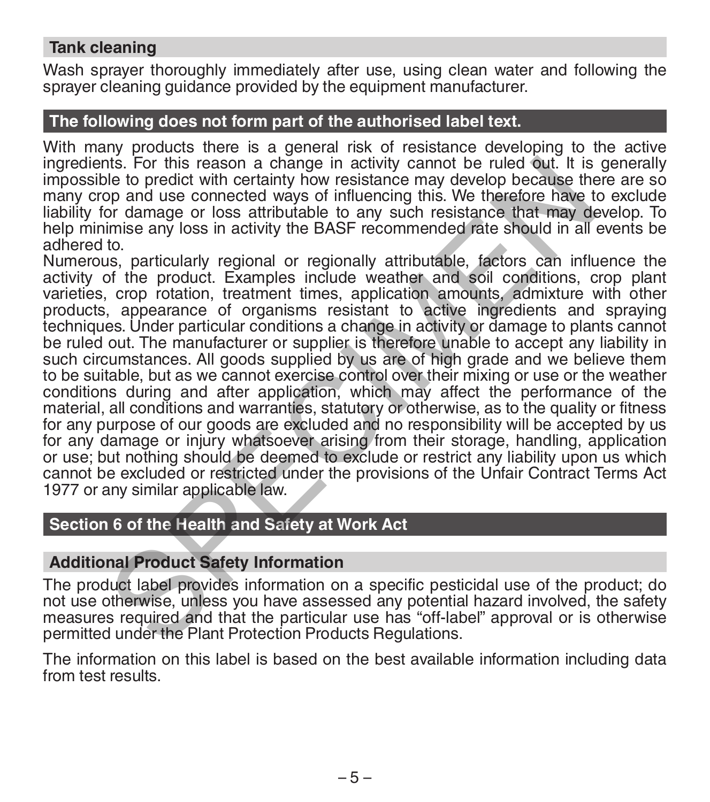## **Tank cleaning**

Wash sprayer thoroughly immediately after use, using clean water and following the sprayer cleaning quidance provided by the equipment manufacturer.

### **The following does not form part of the authorised label text.**

With many products there is a general risk of resistance developing to the active ingredients. For this reason a change in activity cannot be ruled out. It is generally impossible to predict with certainty how resistance may develop because there are so many crop and use connected ways of influencing this. We therefore have to exclude liability for damage or loss attributable to any such resistance that may develop. To help minimise any loss in activity the BASF recommended rate should in all events be adhered to.

Numerous, particularly regional or regionally attributable, factors can influence the activity of the product. Examples include weather and soil conditions, crop plant varieties, crop rotation, treatment times, application amounts, admixture with other products, appearance of organisms resistant to active ingredients and spraying techniques. Under particular conditions a change in activity or damage to plants cannot be ruled out. The manufacturer or supplier is therefore unable to accept any liability in such circumstances. All goods supplied by us are of high grade and we believe them to be suitable, but as we cannot exercise control over their mixing or use or the weather conditions during and after application, which may affect the performance of the material, all conditions and warranties, statutory or otherwise, as to the quality or fitness for any purpose of our goods are excluded and no responsibility will be accepted by us for any damage or injury whatsoever arising from their storage, handling, application or use; but nothing should be deemed to exclude or restrict any liability upon us which cannot be excluded or restricted under the provisions of the Unfair Contract Terms Act 1977 or any similar applicable law. the to predict with certainty how resistance may develop because the product with the partic with certainty how resistance may develop because the more of damage or loss attributable to any such resistance that may deter t

# **Section 6 of the Health and Safety at Work Act**

### **Additional Product Safety Information**

The product label provides information on a specific pesticidal use of the product; do not use otherwise, unless you have assessed any potential hazard involved, the safety measures required and that the particular use has "off-label" approval or is otherwise permitted under the Plant Protection Products Regulations.

The information on this label is based on the best available information including data from test results.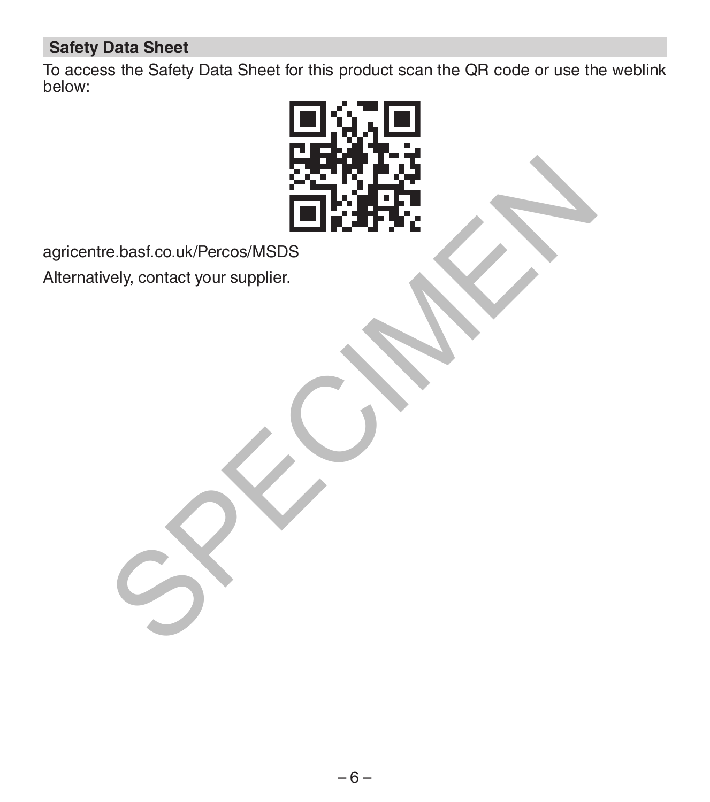# **Safety Data Sheet**

To access the Safety Data Sheet for this product scan the QR code or use the weblink below:



agricentre.basf.co.uk/Percos/MSDS

Alternatively, contact your supplier.